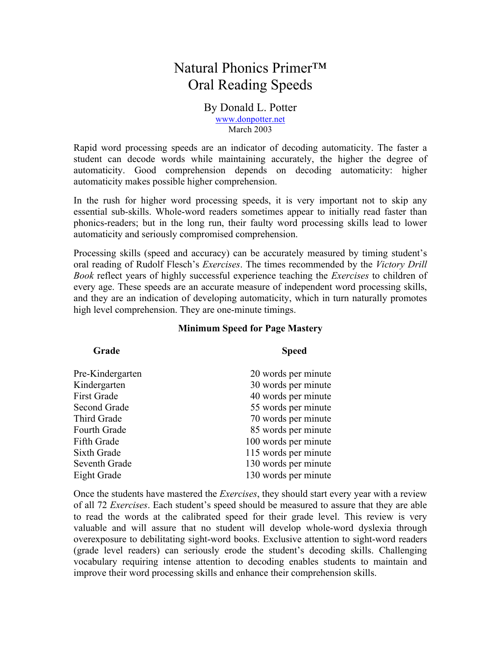## Natural Phonics Primer™ Oral Reading Speeds

#### By Donald L. Potter www.donpotter.net March 2003

Rapid word processing speeds are an indicator of decoding automaticity. The faster a student can decode words while maintaining accurately, the higher the degree of automaticity. Good comprehension depends on decoding automaticity: higher automaticity makes possible higher comprehension.

In the rush for higher word processing speeds, it is very important not to skip any essential sub-skills. Whole-word readers sometimes appear to initially read faster than phonics-readers; but in the long run, their faulty word processing skills lead to lower automaticity and seriously compromised comprehension.

Processing skills (speed and accuracy) can be accurately measured by timing student's oral reading of Rudolf Flesch's *Exercises*. The times recommended by the *Victory Drill Book* reflect years of highly successful experience teaching the *Exercises* to children of every age. These speeds are an accurate measure of independent word processing skills, and they are an indication of developing automaticity, which in turn naturally promotes high level comprehension. They are one-minute timings.

| Grade            | <b>Speed</b>         |  |  |  |
|------------------|----------------------|--|--|--|
| Pre-Kindergarten | 20 words per minute  |  |  |  |
| Kindergarten     | 30 words per minute  |  |  |  |
| First Grade      | 40 words per minute  |  |  |  |
| Second Grade     | 55 words per minute  |  |  |  |
| Third Grade      | 70 words per minute  |  |  |  |
| Fourth Grade     | 85 words per minute  |  |  |  |
| Fifth Grade      | 100 words per minute |  |  |  |
| Sixth Grade      | 115 words per minute |  |  |  |
| Seventh Grade    | 130 words per minute |  |  |  |
| Eight Grade      | 130 words per minute |  |  |  |

Once the students have mastered the *Exercises*, they should start every year with a review of all 72 *Exercises*. Each student's speed should be measured to assure that they are able to read the words at the calibrated speed for their grade level. This review is very valuable and will assure that no student will develop whole-word dyslexia through overexposure to debilitating sight-word books. Exclusive attention to sight-word readers (grade level readers) can seriously erode the student's decoding skills. Challenging vocabulary requiring intense attention to decoding enables students to maintain and improve their word processing skills and enhance their comprehension skills.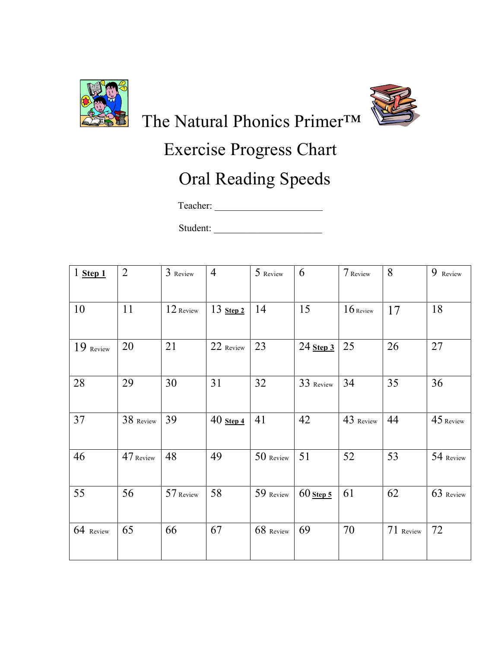



The Natural Phonics Primer™

# Exercise Progress Chart

# Oral Reading Speeds

Teacher: \_\_\_\_\_\_\_\_\_\_\_\_\_\_\_\_\_\_\_\_\_\_

Student:

| $1$ Step $1$ | $\overline{2}$ | 3 Review  | $\overline{4}$ | 5 Review  | 6           | 7 Review    | 8         | 9 Review  |
|--------------|----------------|-----------|----------------|-----------|-------------|-------------|-----------|-----------|
|              |                |           |                |           |             |             |           |           |
| 10           | 11             | 12 Review | $13$ Step 2    | 14        | 15          | $16$ Review | 17        | 18        |
| $19$ Review  | 20             | 21        | 22 Review      | 23        | $24$ Step 3 | 25          | 26        | 27        |
| 28           | 29             | 30        | 31             | 32        | 33 Review   | 34          | 35        | 36        |
| 37           | 38 Review      | 39        | $40$ Step 4    | 41        | 42          | 43 Review   | 44        | 45 Review |
| 46           | 47 Review      | 48        | 49             | 50 Review | 51          | 52          | 53        | 54 Review |
| 55           | 56             | 57 Review | 58             | 59 Review | $60$ Step 5 | 61          | 62        | 63 Review |
| 64 Review    | 65             | 66        | 67             | 68 Review | 69          | 70          | 71 Review | 72        |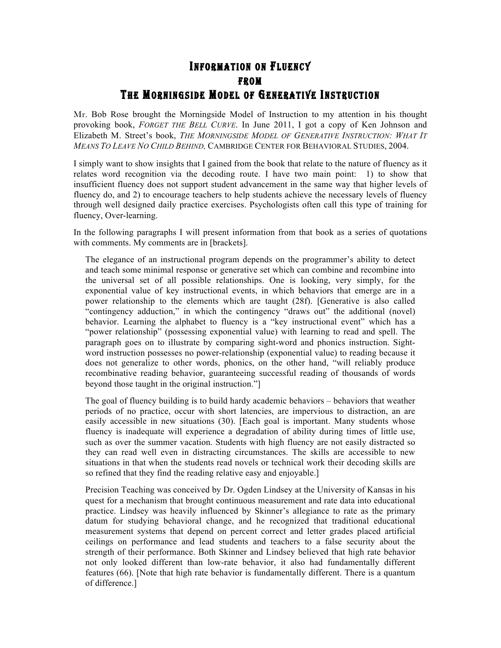#### INFORMATION ON FLUENCY FROM THE MORNINGSIDE MODEL OF GENERATIVE INSTRUCTION

Mr. Bob Rose brought the Morningside Model of Instruction to my attention in his thought provoking book, *FORGET THE BELL CURVE*. In June 2011, I got a copy of Ken Johnson and Elizabeth M. Street's book, *THE MORNINGSIDE MODEL OF GENERATIVE INSTRUCTION: WHAT IT MEANS TO LEAVE NO CHILD BEHIND,* CAMBRIDGE CENTER FOR BEHAVIORAL STUDIES, 2004.

I simply want to show insights that I gained from the book that relate to the nature of fluency as it relates word recognition via the decoding route. I have two main point: 1) to show that insufficient fluency does not support student advancement in the same way that higher levels of fluency do, and 2) to encourage teachers to help students achieve the necessary levels of fluency through well designed daily practice exercises. Psychologists often call this type of training for fluency, Over-learning.

In the following paragraphs I will present information from that book as a series of quotations with comments. My comments are in [brackets].

The elegance of an instructional program depends on the programmer's ability to detect and teach some minimal response or generative set which can combine and recombine into the universal set of all possible relationships. One is looking, very simply, for the exponential value of key instructional events, in which behaviors that emerge are in a power relationship to the elements which are taught (28f). [Generative is also called "contingency adduction," in which the contingency "draws out" the additional (novel) behavior. Learning the alphabet to fluency is a "key instructional event" which has a "power relationship" (possessing exponential value) with learning to read and spell. The paragraph goes on to illustrate by comparing sight-word and phonics instruction. Sightword instruction possesses no power-relationship (exponential value) to reading because it does not generalize to other words, phonics, on the other hand, "will reliably produce recombinative reading behavior, guaranteeing successful reading of thousands of words beyond those taught in the original instruction."]

The goal of fluency building is to build hardy academic behaviors – behaviors that weather periods of no practice, occur with short latencies, are impervious to distraction, an are easily accessible in new situations (30). [Each goal is important. Many students whose fluency is inadequate will experience a degradation of ability during times of little use, such as over the summer vacation. Students with high fluency are not easily distracted so they can read well even in distracting circumstances. The skills are accessible to new situations in that when the students read novels or technical work their decoding skills are so refined that they find the reading relative easy and enjoyable.]

Precision Teaching was conceived by Dr. Ogden Lindsey at the University of Kansas in his quest for a mechanism that brought continuous measurement and rate data into educational practice. Lindsey was heavily influenced by Skinner's allegiance to rate as the primary datum for studying behavioral change, and he recognized that traditional educational measurement systems that depend on percent correct and letter grades placed artificial ceilings on performance and lead students and teachers to a false security about the strength of their performance. Both Skinner and Lindsey believed that high rate behavior not only looked different than low-rate behavior, it also had fundamentally different features (66). [Note that high rate behavior is fundamentally different. There is a quantum of difference.]